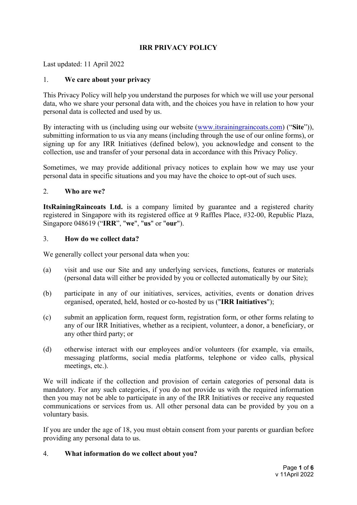# **IRR PRIVACY POLICY**

Last updated: 11 April 2022

### 1. **We care about your privacy**

This Privacy Policy will help you understand the purposes for which we will use your personal data, who we share your personal data with, and the choices you have in relation to how your personal data is collected and used by us.

By interacting with us (including using our website [\(www.itsrainingraincoats.com\)](http://www.itsrainingraincoats.com/) ("**Site**")), submitting information to us via any means (including through the use of our online forms), or signing up for any IRR Initiatives (defined below), you acknowledge and consent to the collection, use and transfer of your personal data in accordance with this Privacy Policy.

Sometimes, we may provide additional privacy notices to explain how we may use your personal data in specific situations and you may have the choice to opt-out of such uses.

### 2. **Who are we?**

**ItsRainingRaincoats Ltd.** is a company limited by guarantee and a registered charity registered in Singapore with its registered office at 9 Raffles Place, #32-00, Republic Plaza, Singapore 048619 ("**IRR**", "**we**", "**us**" or "**our**").

#### 3. **How do we collect data?**

We generally collect your personal data when you:

- (a) visit and use our Site and any underlying services, functions, features or materials (personal data will either be provided by you or collected automatically by our Site);
- (b) participate in any of our initiatives, services, activities, events or donation drives organised, operated, held, hosted or co-hosted by us ("**IRR Initiatives**");
- (c) submit an application form, request form, registration form, or other forms relating to any of our IRR Initiatives, whether as a recipient, volunteer, a donor, a beneficiary, or any other third party; or
- (d) otherwise interact with our employees and/or volunteers (for example, via emails, messaging platforms, social media platforms, telephone or video calls, physical meetings, etc.).

We will indicate if the collection and provision of certain categories of personal data is mandatory. For any such categories, if you do not provide us with the required information then you may not be able to participate in any of the IRR Initiatives or receive any requested communications or services from us. All other personal data can be provided by you on a voluntary basis.

If you are under the age of 18, you must obtain consent from your parents or guardian before providing any personal data to us.

## 4. **What information do we collect about you?**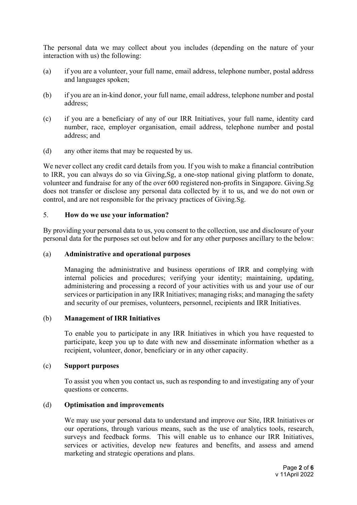The personal data we may collect about you includes (depending on the nature of your interaction with us) the following:

- (a) if you are a volunteer, your full name, email address, telephone number, postal address and languages spoken;
- (b) if you are an in-kind donor, your full name, email address, telephone number and postal address;
- (c) if you are a beneficiary of any of our IRR Initiatives, your full name, identity card number, race, employer organisation, email address, telephone number and postal address; and
- (d) any other items that may be requested by us.

We never collect any credit card details from you. If you wish to make a financial contribution to IRR, you can always do so via Giving,Sg, a one-stop national giving platform to donate, volunteer and fundraise for any of the over 600 registered non-profits in Singapore. Giving.Sg does not transfer or disclose any personal data collected by it to us, and we do not own or control, and are not responsible for the privacy practices of Giving.Sg.

### <span id="page-1-0"></span>5. **How do we use your information?**

By providing your personal data to us, you consent to the collection, use and disclosure of your personal data for the purposes set out below and for any other purposes ancillary to the below:

#### (a) **Administrative and operational purposes**

Managing the administrative and business operations of IRR and complying with internal policies and procedures; verifying your identity; maintaining, updating, administering and processing a record of your activities with us and your use of our services or participation in any IRR Initiatives; managing risks; and managing the safety and security of our premises, volunteers, personnel, recipients and IRR Initiatives.

#### (b) **Management of IRR Initiatives**

To enable you to participate in any IRR Initiatives in which you have requested to participate, keep you up to date with new and disseminate information whether as a recipient, volunteer, donor, beneficiary or in any other capacity.

#### (c) **Support purposes**

To assist you when you contact us, such as responding to and investigating any of your questions or concerns.

## <span id="page-1-1"></span>(d) **Optimisation and improvements**

We may use your personal data to understand and improve our Site, IRR Initiatives or our operations, through various means, such as the use of analytics tools, research, surveys and feedback forms. This will enable us to enhance our IRR Initiatives, services or activities, develop new features and benefits, and assess and amend marketing and strategic operations and plans.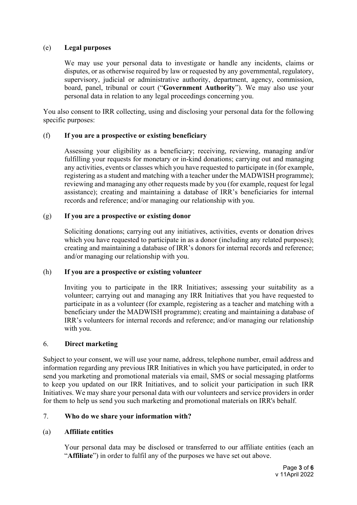## (e) **Legal purposes**

We may use your personal data to investigate or handle any incidents, claims or disputes, or as otherwise required by law or requested by any governmental, regulatory, supervisory, judicial or administrative authority, department, agency, commission, board, panel, tribunal or court ("**Government Authority**"). We may also use your personal data in relation to any legal proceedings concerning you.

You also consent to IRR collecting, using and disclosing your personal data for the following specific purposes:

### (f) **If you are a prospective or existing beneficiary**

Assessing your eligibility as a beneficiary; receiving, reviewing, managing and/or fulfilling your requests for monetary or in-kind donations; carrying out and managing any activities, events or classes which you have requested to participate in (for example, registering as a student and matching with a teacher under the MADWISH programme); reviewing and managing any other requests made by you (for example, request for legal assistance); creating and maintaining a database of IRR's beneficiaries for internal records and reference; and/or managing our relationship with you.

### (g) **If you are a prospective or existing donor**

Soliciting donations; carrying out any initiatives, activities, events or donation drives which you have requested to participate in as a donor (including any related purposes); creating and maintaining a database of IRR's donors for internal records and reference; and/or managing our relationship with you.

#### (h) **If you are a prospective or existing volunteer**

Inviting you to participate in the IRR Initiatives; assessing your suitability as a volunteer; carrying out and managing any IRR Initiatives that you have requested to participate in as a volunteer (for example, registering as a teacher and matching with a beneficiary under the MADWISH programme); creating and maintaining a database of IRR's volunteers for internal records and reference; and/or managing our relationship with you.

#### 6. **Direct marketing**

Subject to your consent, we will use your name, address, telephone number, email address and information regarding any previous IRR Initiatives in which you have participated, in order to send you marketing and promotional materials via email, SMS or social messaging platforms to keep you updated on our IRR Initiatives, and to solicit your participation in such IRR Initiatives. We may share your personal data with our volunteers and service providers in order for them to help us send you such marketing and promotional materials on IRR's behalf.

## 7. **Who do we share your information with?**

## (a) **Affiliate entities**

Your personal data may be disclosed or transferred to our affiliate entities (each an "**Affiliate**") in order to fulfil any of the purposes we have set out above.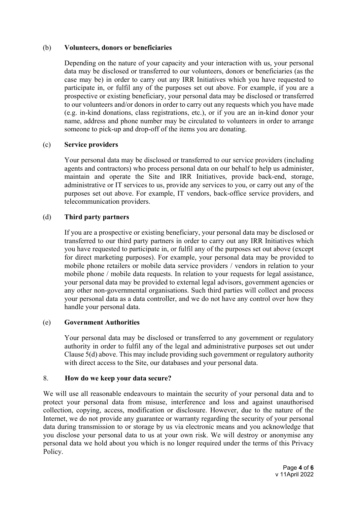### (b) **Volunteers, donors or beneficiaries**

Depending on the nature of your capacity and your interaction with us, your personal data may be disclosed or transferred to our volunteers, donors or beneficiaries (as the case may be) in order to carry out any IRR Initiatives which you have requested to participate in, or fulfil any of the purposes set out above. For example, if you are a prospective or existing beneficiary, your personal data may be disclosed or transferred to our volunteers and/or donors in order to carry out any requests which you have made (e.g. in-kind donations, class registrations, etc.), or if you are an in-kind donor your name, address and phone number may be circulated to volunteers in order to arrange someone to pick-up and drop-off of the items you are donating.

### (c) **Service providers**

Your personal data may be disclosed or transferred to our service providers (including agents and contractors) who process personal data on our behalf to help us administer, maintain and operate the Site and IRR Initiatives, provide back-end, storage, administrative or IT services to us, provide any services to you, or carry out any of the purposes set out above. For example, IT vendors, back-office service providers, and telecommunication providers.

### (d) **Third party partners**

If you are a prospective or existing beneficiary, your personal data may be disclosed or transferred to our third party partners in order to carry out any IRR Initiatives which you have requested to participate in, or fulfil any of the purposes set out above (except for direct marketing purposes). For example, your personal data may be provided to mobile phone retailers or mobile data service providers / vendors in relation to your mobile phone / mobile data requests. In relation to your requests for legal assistance, your personal data may be provided to external legal advisors, government agencies or any other non-governmental organisations. Such third parties will collect and process your personal data as a data controller, and we do not have any control over how they handle your personal data.

## (e) **Government Authorities**

Your personal data may be disclosed or transferred to any government or regulatory authority in order to fulfil any of the legal and administrative purposes set out under Claus[e 5](#page-1-0)[\(d\)](#page-1-1) above. This may include providing such government or regulatory authority with direct access to the Site, our databases and your personal data.

#### 8. **How do we keep your data secure?**

We will use all reasonable endeavours to maintain the security of your personal data and to protect your personal data from misuse, interference and loss and against unauthorised collection, copying, access, modification or disclosure. However, due to the nature of the Internet, we do not provide any guarantee or warranty regarding the security of your personal data during transmission to or storage by us via electronic means and you acknowledge that you disclose your personal data to us at your own risk. We will destroy or anonymise any personal data we hold about you which is no longer required under the terms of this Privacy Policy.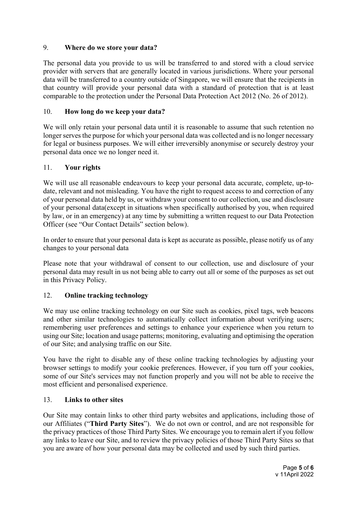# 9. **Where do we store your data?**

The personal data you provide to us will be transferred to and stored with a cloud service provider with servers that are generally located in various jurisdictions. Where your personal data will be transferred to a country outside of Singapore, we will ensure that the recipients in that country will provide your personal data with a standard of protection that is at least comparable to the protection under the Personal Data Protection Act 2012 (No. 26 of 2012).

# 10. **How long do we keep your data?**

We will only retain your personal data until it is reasonable to assume that such retention no longer serves the purpose for which your personal data was collected and is no longer necessary for legal or business purposes. We will either irreversibly anonymise or securely destroy your personal data once we no longer need it.

# 11. **Your rights**

We will use all reasonable endeavours to keep your personal data accurate, complete, up-todate, relevant and not misleading. You have the right to request access to and correction of any of your personal data held by us, or withdraw your consent to our collection, use and disclosure of your personal data(except in situations when specifically authorised by you, when required by law, or in an emergency) at any time by submitting a written request to our Data Protection Officer (see "Our Contact Details" section below).

In order to ensure that your personal data is kept as accurate as possible, please notify us of any changes to your personal data

Please note that your withdrawal of consent to our collection, use and disclosure of your personal data may result in us not being able to carry out all or some of the purposes as set out in this Privacy Policy.

## 12. **Online tracking technology**

We may use online tracking technology on our Site such as cookies, pixel tags, web beacons and other similar technologies to automatically collect information about verifying users; remembering user preferences and settings to enhance your experience when you return to using our Site; location and usage patterns; monitoring, evaluating and optimising the operation of our Site; and analysing traffic on our Site.

You have the right to disable any of these online tracking technologies by adjusting your browser settings to modify your cookie preferences. However, if you turn off your cookies, some of our Site's services may not function properly and you will not be able to receive the most efficient and personalised experience.

## 13. **Links to other sites**

Our Site may contain links to other third party websites and applications, including those of our Affiliates ("**Third Party Sites**"). We do not own or control, and are not responsible for the privacy practices of those Third Party Sites. We encourage you to remain alert if you follow any links to leave our Site, and to review the privacy policies of those Third Party Sites so that you are aware of how your personal data may be collected and used by such third parties.